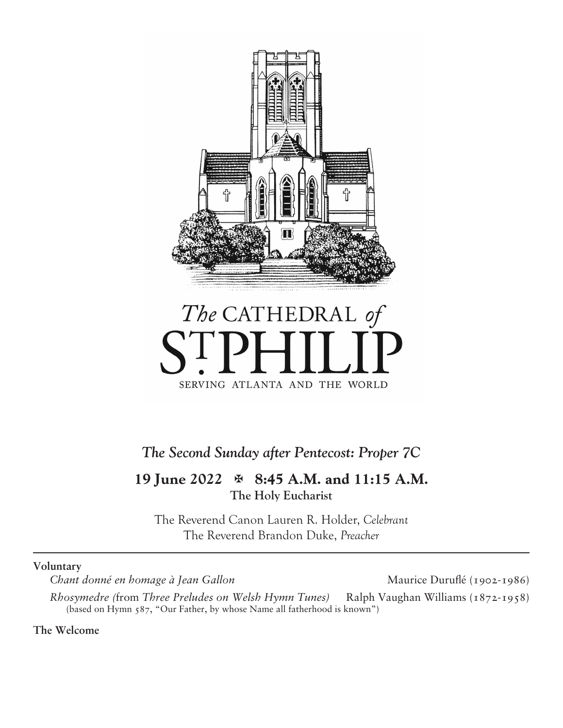



*The Second Sunday after Pentecost: Proper 7C*

**19 June 2022 8:45 A.M. and 11:15 A.M. The Holy Eucharist**

The Reverend Canon Lauren R. Holder, *Celebrant* The Reverend Brandon Duke, *Preacher*

**Voluntary**

Chant donné en homage à Jean Gallon (1902-1986)

*Rhosymedre (*from *Three Preludes on Welsh Hymn Tunes)* Ralph Vaughan Williams (1872-1958) (based on Hymn 587, "Our Father, by whose Name all fatherhood is known")

**The Welcome**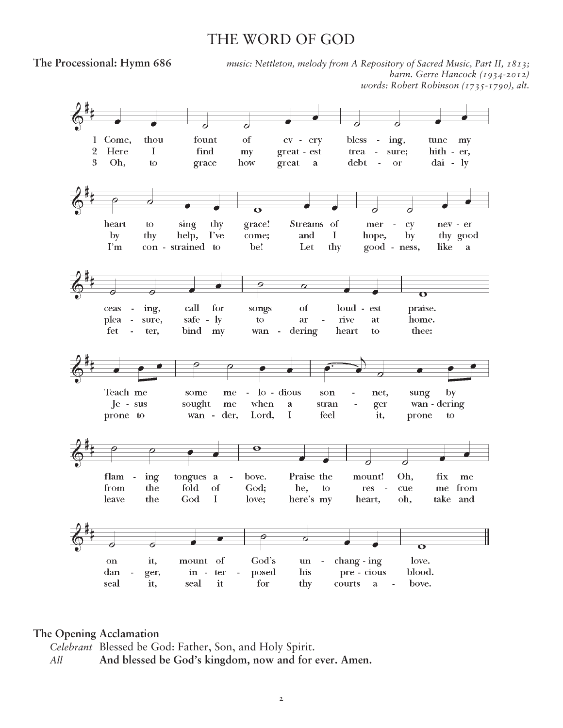## THE WORD OF GOD

**The Processional: Hymn 686** *music: Nettleton, melody from A Repository of Sacred Music, Part II, 1813; harm. Gerre Hancock (1934-2012) words: Robert Robinson (1735-1790), alt.*



### **The Opening Acclamation**

*Celebrant* Blessed be God: Father, Son, and Holy Spirit.

*All* **And blessed be God's kingdom, now and for ever. Amen.**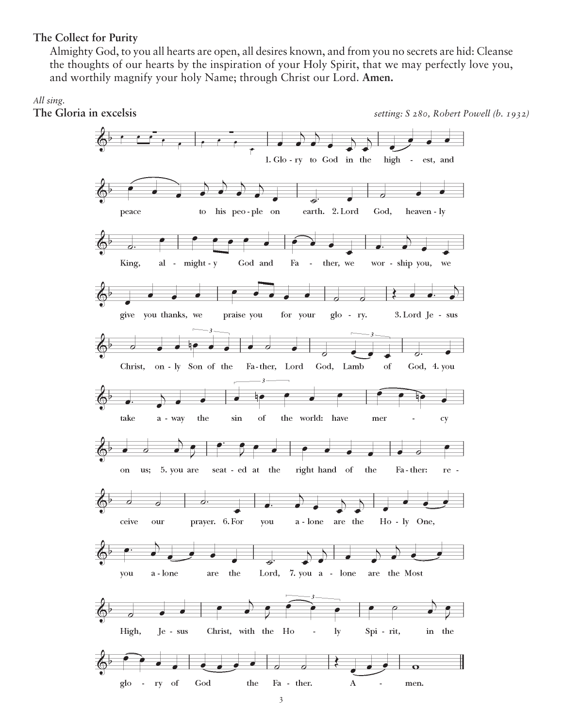### **The Collect for Purity**

Almighty God, to you all hearts are open, all desires known, and from you no secrets are hid: Cleanse the thoughts of our hearts by the inspiration of your Holy Spirit, that we may perfectly love you, and worthily magnify your holy Name; through Christ our Lord. **Amen.**

### *All sing.*

**The Gloria in excelsis** *setting: S 280, Robert Powell (b. 1932)*

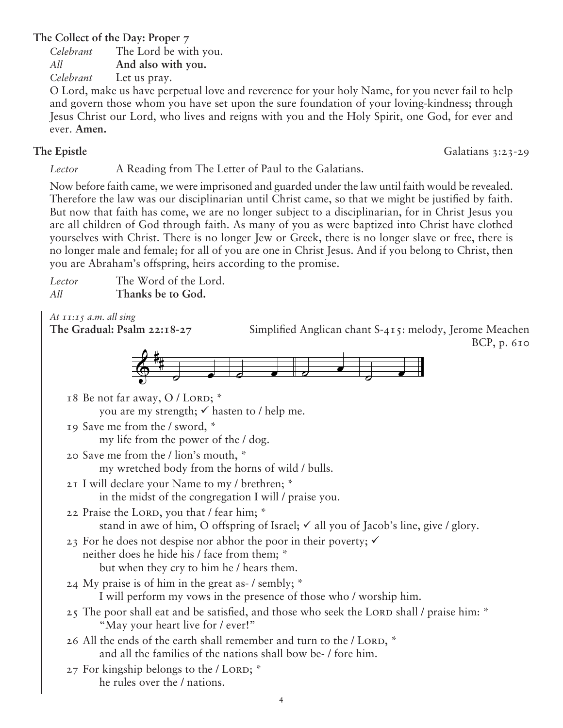### **The Collect of the Day: Proper 7**

*Celebrant* The Lord be with you.

*All* **And also with you.**

*Celebrant* Let us pray.

O Lord, make us have perpetual love and reverence for your holy Name, for you never fail to help and govern those whom you have set upon the sure foundation of your loving-kindness; through Jesus Christ our Lord, who lives and reigns with you and the Holy Spirit, one God, for ever and ever. **Amen.**

# **The Epistle** Galatians 3:23-29

*Lector* A Reading from The Letter of Paul to the Galatians.

Now before faith came, we were imprisoned and guarded under the law until faith would be revealed. Therefore the law was our disciplinarian until Christ came, so that we might be justified by faith. But now that faith has come, we are no longer subject to a disciplinarian, for in Christ Jesus you are all children of God through faith. As many of you as were baptized into Christ have clothed yourselves with Christ. There is no longer Jew or Greek, there is no longer slave or free, there is no longer male and female; for all of you are one in Christ Jesus. And if you belong to Christ, then you are Abraham's offspring, heirs according to the promise.

| Lector | The Word of the Lord. |
|--------|-----------------------|
| All    | Thanks be to God.     |

*At 11:15 a.m. all sing*

**The Gradual: Psalm 22:18-27** Simplified Anglican chant S-415: melody, Jerome Meachen BCP, p. 610



- 18 Be not far away, O / LORD; \* you are my strength;  $\checkmark$  hasten to / help me.
- 19 Save me from the / sword, \*

my life from the power of the / dog.

- 20 Save me from the / lion's mouth, \* my wretched body from the horns of wild / bulls.
- 21 I will declare your Name to my / brethren; \* in the midst of the congregation I will / praise you.
- 22 Praise the LORD, you that / fear him; \*

stand in awe of him, O offspring of Israel;  $\checkmark$  all you of Jacob's line, give / glory.

- 23 For he does not despise nor abhor the poor in their poverty;  $\checkmark$ 
	- neither does he hide his / face from them; \*

but when they cry to him he / hears them.

24 My praise is of him in the great as- / sembly;  $*$ 

I will perform my vows in the presence of those who / worship him.

- 25 The poor shall eat and be satisfied, and those who seek the LORD shall / praise him: \* "May your heart live for / ever!"
- 26 All the ends of the earth shall remember and turn to the / LORD, \* and all the families of the nations shall bow be- / fore him.
- $27$  For kingship belongs to the / LORD;  $*$ he rules over the / nations.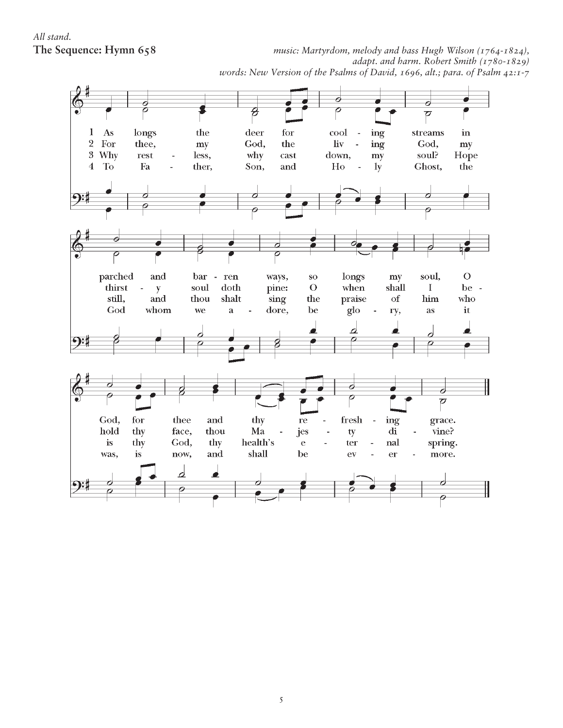*All stand.* 

**The Sequence: Hymn 658** *music: Martyrdom, melody and bass Hugh Wilson (1764-1824), adapt. and harm. Robert Smith (1780-1829) words: New Version of the Psalms of David, 1696, alt.; para. of Psalm 42:1-7*

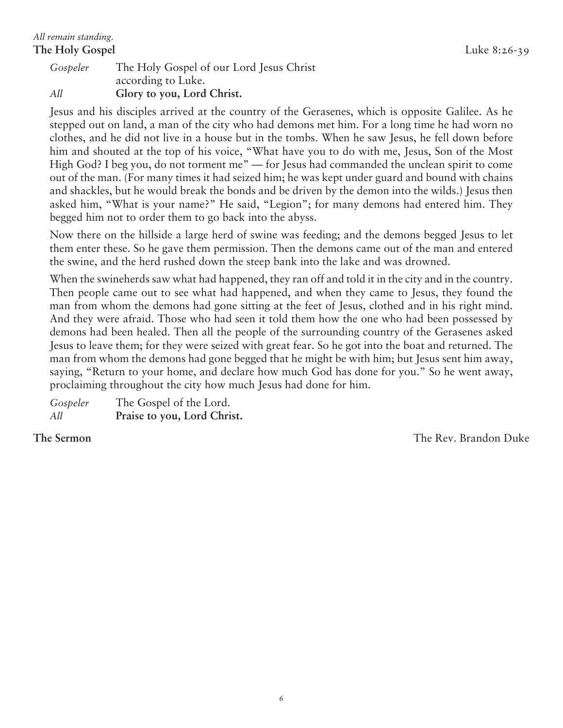### *All remain standing.* **The Holy Gospel** Luke 8:26-39

*Gospeler* The Holy Gospel of our Lord Jesus Christ according to Luke. *All* **Glory to you, Lord Christ.**

Jesus and his disciples arrived at the country of the Gerasenes, which is opposite Galilee. As he stepped out on land, a man of the city who had demons met him. For a long time he had worn no clothes, and he did not live in a house but in the tombs. When he saw Jesus, he fell down before him and shouted at the top of his voice, "What have you to do with me, Jesus, Son of the Most High God? I beg you, do not torment me" — for Jesus had commanded the unclean spirit to come out of the man. (For many times it had seized him; he was kept under guard and bound with chains and shackles, but he would break the bonds and be driven by the demon into the wilds.) Jesus then asked him, "What is your name?" He said, "Legion"; for many demons had entered him. They begged him not to order them to go back into the abyss.

Now there on the hillside a large herd of swine was feeding; and the demons begged Jesus to let them enter these. So he gave them permission. Then the demons came out of the man and entered the swine, and the herd rushed down the steep bank into the lake and was drowned.

When the swineherds saw what had happened, they ran off and told it in the city and in the country. Then people came out to see what had happened, and when they came to Jesus, they found the man from whom the demons had gone sitting at the feet of Jesus, clothed and in his right mind. And they were afraid. Those who had seen it told them how the one who had been possessed by demons had been healed. Then all the people of the surrounding country of the Gerasenes asked Jesus to leave them; for they were seized with great fear. So he got into the boat and returned. The man from whom the demons had gone begged that he might be with him; but Jesus sent him away, saying, "Return to your home, and declare how much God has done for you." So he went away, proclaiming throughout the city how much Jesus had done for him.

| Gospeler | The Gospel of the Lord.     |
|----------|-----------------------------|
| All      | Praise to you, Lord Christ. |

**The Sermon** The Rev. Brandon Duke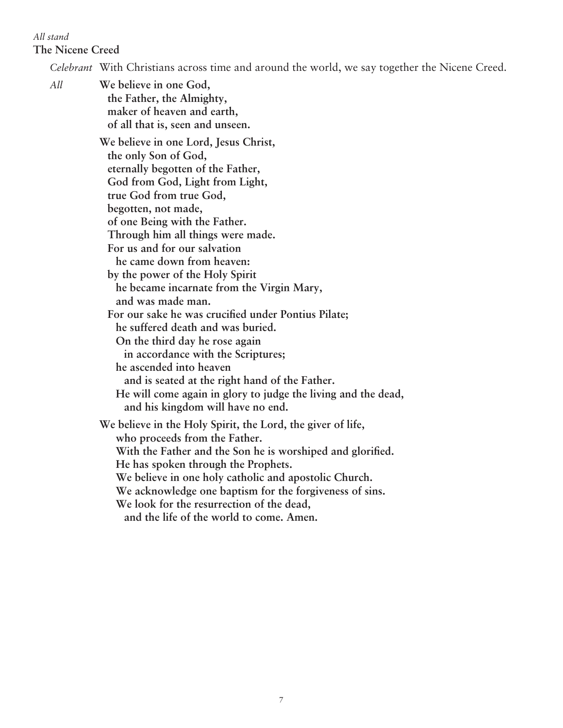# *All stand*

**The Nicene Creed**

*Celebrant* With Christians across time and around the world, we say together the Nicene Creed.

| All | We believe in one God,<br>the Father, the Almighty,<br>maker of heaven and earth,<br>of all that is, seen and unseen.                                                                                                                                                                                                                                                                                                                               |
|-----|-----------------------------------------------------------------------------------------------------------------------------------------------------------------------------------------------------------------------------------------------------------------------------------------------------------------------------------------------------------------------------------------------------------------------------------------------------|
|     | We believe in one Lord, Jesus Christ,<br>the only Son of God,<br>eternally begotten of the Father,<br>God from God, Light from Light,<br>true God from true God,<br>begotten, not made,                                                                                                                                                                                                                                                             |
|     | of one Being with the Father.<br>Through him all things were made.<br>For us and for our salvation<br>he came down from heaven:<br>by the power of the Holy Spirit<br>he became incarnate from the Virgin Mary,                                                                                                                                                                                                                                     |
|     | and was made man.<br>For our sake he was crucified under Pontius Pilate;<br>he suffered death and was buried.<br>On the third day he rose again<br>in accordance with the Scriptures;<br>he ascended into heaven<br>and is seated at the right hand of the Father.<br>He will come again in glory to judge the living and the dead,                                                                                                                 |
|     | and his kingdom will have no end.<br>We believe in the Holy Spirit, the Lord, the giver of life,<br>who proceeds from the Father.<br>With the Father and the Son he is worshiped and glorified.<br>He has spoken through the Prophets.<br>We believe in one holy catholic and apostolic Church.<br>We acknowledge one baptism for the forgiveness of sins.<br>We look for the resurrection of the dead,<br>and the life of the world to come. Amen. |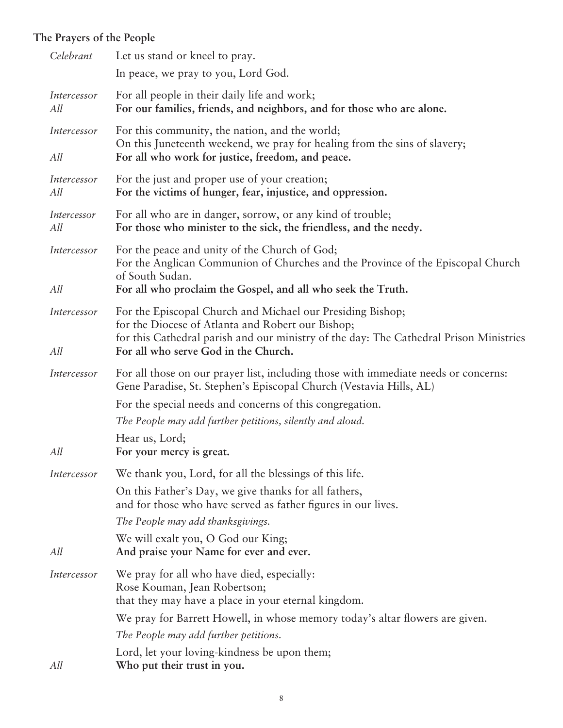# **The Prayers of the People**

| Celebrant          | Let us stand or kneel to pray.                                                                                                                                                                                                                    |  |
|--------------------|---------------------------------------------------------------------------------------------------------------------------------------------------------------------------------------------------------------------------------------------------|--|
|                    | In peace, we pray to you, Lord God.                                                                                                                                                                                                               |  |
| Intercessor<br>All | For all people in their daily life and work;<br>For our families, friends, and neighbors, and for those who are alone.                                                                                                                            |  |
| Intercessor<br>All | For this community, the nation, and the world;<br>On this Juneteenth weekend, we pray for healing from the sins of slavery;<br>For all who work for justice, freedom, and peace.                                                                  |  |
| Intercessor<br>All | For the just and proper use of your creation;<br>For the victims of hunger, fear, injustice, and oppression.                                                                                                                                      |  |
| Intercessor<br>All | For all who are in danger, sorrow, or any kind of trouble;<br>For those who minister to the sick, the friendless, and the needy.                                                                                                                  |  |
| Intercessor<br>All | For the peace and unity of the Church of God;<br>For the Anglican Communion of Churches and the Province of the Episcopal Church<br>of South Sudan.<br>For all who proclaim the Gospel, and all who seek the Truth.                               |  |
| Intercessor<br>All | For the Episcopal Church and Michael our Presiding Bishop;<br>for the Diocese of Atlanta and Robert our Bishop;<br>for this Cathedral parish and our ministry of the day: The Cathedral Prison Ministries<br>For all who serve God in the Church. |  |
| Intercessor        | For all those on our prayer list, including those with immediate needs or concerns:<br>Gene Paradise, St. Stephen's Episcopal Church (Vestavia Hills, AL)                                                                                         |  |
|                    | For the special needs and concerns of this congregation.                                                                                                                                                                                          |  |
|                    | The People may add further petitions, silently and aloud.                                                                                                                                                                                         |  |
| All                | Hear us, Lord;<br>For your mercy is great.                                                                                                                                                                                                        |  |
| Intercessor        | We thank you, Lord, for all the blessings of this life.                                                                                                                                                                                           |  |
|                    | On this Father's Day, we give thanks for all fathers,<br>and for those who have served as father figures in our lives.<br>The People may add thanksgivings.                                                                                       |  |
| All                | We will exalt you, O God our King;<br>And praise your Name for ever and ever.                                                                                                                                                                     |  |
| Intercessor        | We pray for all who have died, especially:<br>Rose Kouman, Jean Robertson;<br>that they may have a place in your eternal kingdom.                                                                                                                 |  |
|                    | We pray for Barrett Howell, in whose memory today's altar flowers are given.                                                                                                                                                                      |  |
|                    | The People may add further petitions.                                                                                                                                                                                                             |  |
| All                | Lord, let your loving-kindness be upon them;<br>Who put their trust in you.                                                                                                                                                                       |  |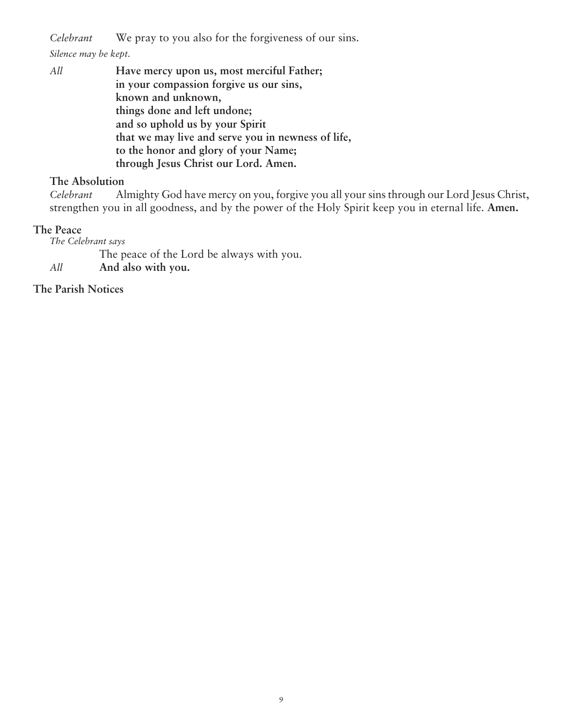*Celebrant* We pray to you also for the forgiveness of our sins.

*Silence may be kept.*

*All* **Have mercy upon us, most merciful Father; in your compassion forgive us our sins, known and unknown, things done and left undone; and so uphold us by your Spirit that we may live and serve you in newness of life, to the honor and glory of your Name; through Jesus Christ our Lord. Amen.**

### **The Absolution**

*Celebrant* Almighty God have mercy on you, forgive you all your sins through our Lord Jesus Christ, strengthen you in all goodness, and by the power of the Holy Spirit keep you in eternal life. **Amen.**

### **The Peace**

*The Celebrant says*

The peace of the Lord be always with you.

*All* **And also with you.**

### **The Parish Notices**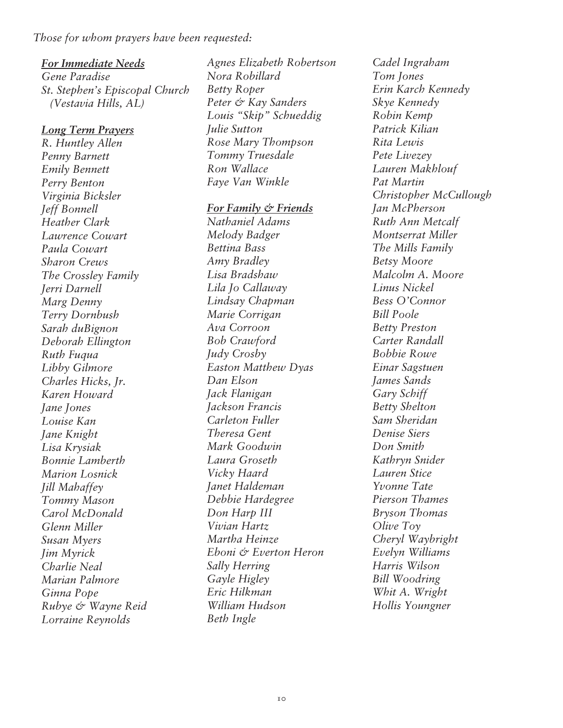### *For Immediate Needs*

*Gene Paradise St. Stephen's Episcopal Church (Vestavia Hills, AL)*

### *Long Term Prayers*

*R. Huntley Allen Penny Barnett Emily Bennett Perry Benton Virginia Bicksler Jeff Bonnell Heather Clark Lawrence Cowart Paula Cowart Sharon Crews The Crossley Family Jerri Darnell Marg Denny Terry Dornbush Sarah duBignon Deborah Ellington Ruth Fuqua Libby Gilmore Charles Hicks, Jr. Karen Howard Jane Jones Louise Kan Jane Knight Lisa Krysiak Bonnie Lamberth Marion Losnick Jill Mahaffey Tommy Mason Carol McDonald Glenn Miller Susan Myers Jim Myrick Charlie Neal Marian Palmore Ginna Pope Rubye & Wayne Reid Lorraine Reynolds*

*Agnes Elizabeth Robertson Nora Robillard Betty Roper Peter & Kay Sanders Louis "Skip" Schueddig Julie Sutton Rose Mary Thompson Tommy Truesdale Ron Wallace Faye Van Winkle For Family & Friends Nathaniel Adams Melody Badger Bettina Bass Amy Bradley Lisa Bradshaw Lila Jo Callaway Lindsay Chapman Marie Corrigan Ava Corroon Bob Crawford Judy Crosby Easton Matthew Dyas Dan Elson Jack Flanigan Jackson Francis Carleton Fuller Theresa Gent Mark Goodwin Laura Groseth Vicky Haard Janet Haldeman Debbie Hardegree Don Harp III Vivian Hartz Martha Heinze* 

*Cadel Ingraham Tom Jones Erin Karch Kennedy Skye Kennedy Robin Kemp Patrick Kilian Rita Lewis Pete Livezey Lauren Makhlouf Pat Martin Christopher McCullough Jan McPherson Ruth Ann Metcalf Montserrat Miller The Mills Family Betsy Moore Malcolm A. Moore Linus Nickel Bess O'Connor Bill Poole Betty Preston Carter Randall Bobbie Rowe Einar Sagstuen James Sands Gary Schiff Betty Shelton Sam Sheridan Denise Siers Don Smith Kathryn Snider Lauren Stice Yvonne Tate Pierson Thames Bryson Thomas Olive Toy Cheryl Waybright Evelyn Williams Harris Wilson Bill Woodring Whit A. Wright Hollis Youngner*

*Eboni & Everton Heron*

*Sally Herring Gayle Higley Eric Hilkman William Hudson*

*Beth Ingle*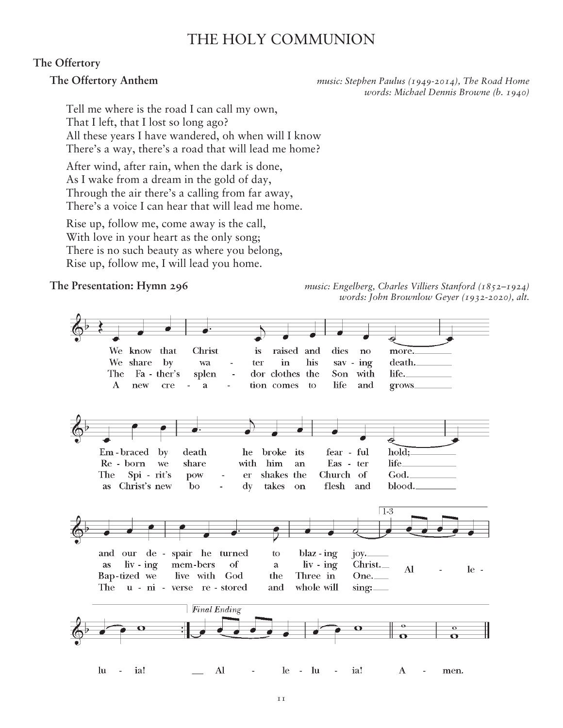# THE HOLY COMMUNION

### **The Offertory**

**The Offertory Anthem** *music: Stephen Paulus (1949-2014), The Road Home words: Michael Dennis Browne (b. 1940)*

Tell me where is the road I can call my own, That I left, that I lost so long ago? All these years I have wandered, oh when will I know There's a way, there's a road that will lead me home?

After wind, after rain, when the dark is done, As I wake from a dream in the gold of day, Through the air there's a calling from far away, There's a voice I can hear that will lead me home.

Rise up, follow me, come away is the call, With love in your heart as the only song; There is no such beauty as where you belong, Rise up, follow me, I will lead you home.

**The Presentation: Hymn 296** *music: Engelberg, Charles Villiers Stanford (1852–1924) words: John Brownlow Geyer (1932-2020), alt.*

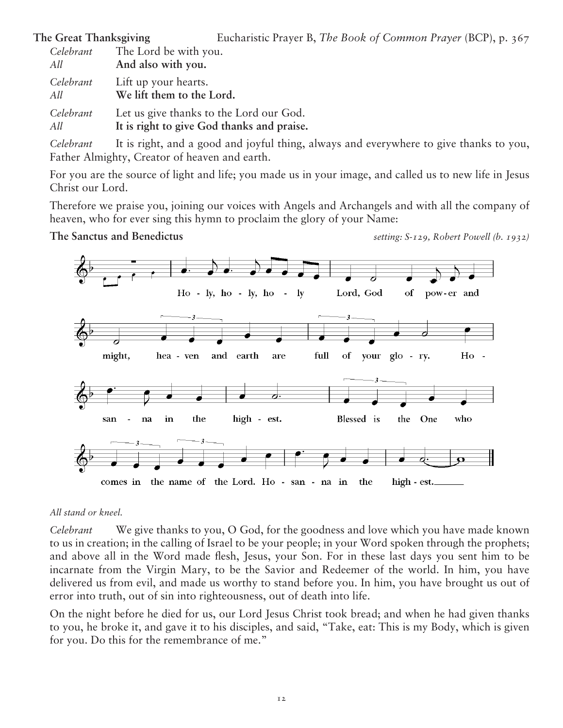**The Great Thanksgiving Eucharistic Prayer B,** *The Book of Common Prayer* **(BCP), p. 367** *Celebrant* The Lord be with you. *All* **And also with you.** *Celebrant* Lift up your hearts. *All* **We lift them to the Lord.** *Celebrant* Let us give thanks to the Lord our God.

*All* **It is right to give God thanks and praise.**

*Celebrant* It is right, and a good and joyful thing, always and everywhere to give thanks to you, Father Almighty, Creator of heaven and earth.

For you are the source of light and life; you made us in your image, and called us to new life in Jesus Christ our Lord.

Therefore we praise you, joining our voices with Angels and Archangels and with all the company of heaven, who for ever sing this hymn to proclaim the glory of your Name:

**The Sanctus and Benedictus** *setting: S-129, Robert Powell (b. 1932)*



### *All stand or kneel.*

*Celebrant* We give thanks to you, O God, for the goodness and love which you have made known to us in creation; in the calling of Israel to be your people; in your Word spoken through the prophets; and above all in the Word made flesh, Jesus, your Son. For in these last days you sent him to be incarnate from the Virgin Mary, to be the Savior and Redeemer of the world. In him, you have delivered us from evil, and made us worthy to stand before you. In him, you have brought us out of error into truth, out of sin into righteousness, out of death into life.

On the night before he died for us, our Lord Jesus Christ took bread; and when he had given thanks to you, he broke it, and gave it to his disciples, and said, "Take, eat: This is my Body, which is given for you. Do this for the remembrance of me."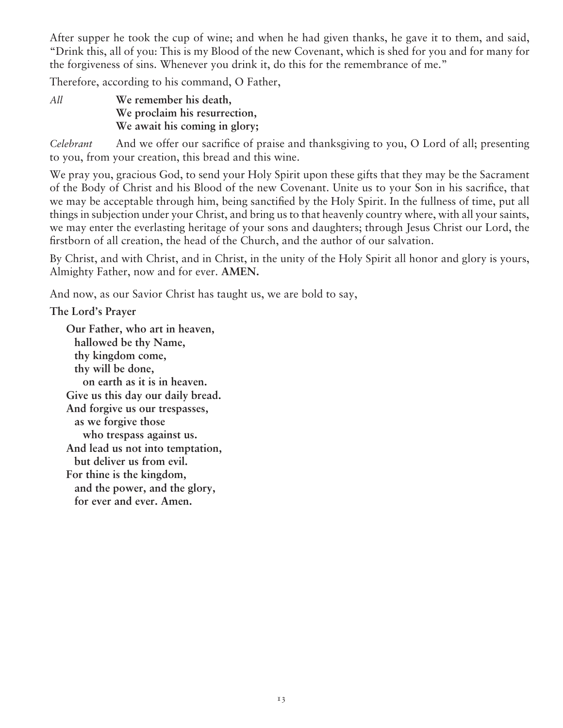After supper he took the cup of wine; and when he had given thanks, he gave it to them, and said, "Drink this, all of you: This is my Blood of the new Covenant, which is shed for you and for many for the forgiveness of sins. Whenever you drink it, do this for the remembrance of me."

Therefore, according to his command, O Father,

*All* **We remember his death, We proclaim his resurrection, We await his coming in glory;**

*Celebrant* And we offer our sacrifice of praise and thanksgiving to you, O Lord of all; presenting to you, from your creation, this bread and this wine.

We pray you, gracious God, to send your Holy Spirit upon these gifts that they may be the Sacrament of the Body of Christ and his Blood of the new Covenant. Unite us to your Son in his sacrifice, that we may be acceptable through him, being sanctified by the Holy Spirit. In the fullness of time, put all things in subjection under your Christ, and bring us to that heavenly country where, with all your saints, we may enter the everlasting heritage of your sons and daughters; through Jesus Christ our Lord, the firstborn of all creation, the head of the Church, and the author of our salvation.

By Christ, and with Christ, and in Christ, in the unity of the Holy Spirit all honor and glory is yours, Almighty Father, now and for ever. **AMEN.**

And now, as our Savior Christ has taught us, we are bold to say,

### **The Lord's Prayer**

**Our Father, who art in heaven, hallowed be thy Name, thy kingdom come, thy will be done, on earth as it is in heaven. Give us this day our daily bread. And forgive us our trespasses, as we forgive those who trespass against us. And lead us not into temptation, but deliver us from evil. For thine is the kingdom, and the power, and the glory, for ever and ever. Amen.**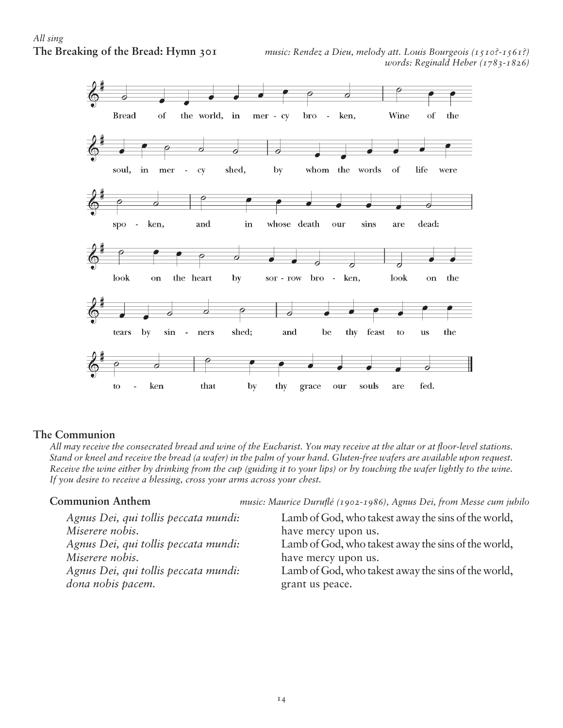# *All sing*

**The Breaking of the Bread: Hymn 301** *music: Rendez a Dieu, melody att. Louis Bourgeois (1510?-1561?) words: Reginald Heber (1783-1826)*



### **The Communion**

*All may receive the consecrated bread and wine of the Eucharist. You may receive at the altar or at floor-level stations. Stand or kneel and receive the bread (a wafer) in the palm of your hand. Gluten-free wafers are available upon request. Receive the wine either by drinking from the cup (guiding it to your lips) or by touching the wafer lightly to the wine. If you desire to receive a blessing, cross your arms across your chest.*

| <b>Communion Anthem</b>              | music: Maurice Duruflé (1902-1986), Agnus Dei, from Messe cum jubilo |
|--------------------------------------|----------------------------------------------------------------------|
| Agnus Dei, qui tollis peccata mundi: | Lamb of God, who takest away the sins of the world,                  |
| Miserere nobis.                      | have mercy upon us.                                                  |
| Agnus Dei, qui tollis peccata mundi: | Lamb of God, who takest away the sins of the world,                  |
| Miserere nobis.                      | have mercy upon us.                                                  |
| Agnus Dei, qui tollis peccata mundi: | Lamb of God, who takest away the sins of the world,                  |
| dona nobis pacem.                    | grant us peace.                                                      |
|                                      |                                                                      |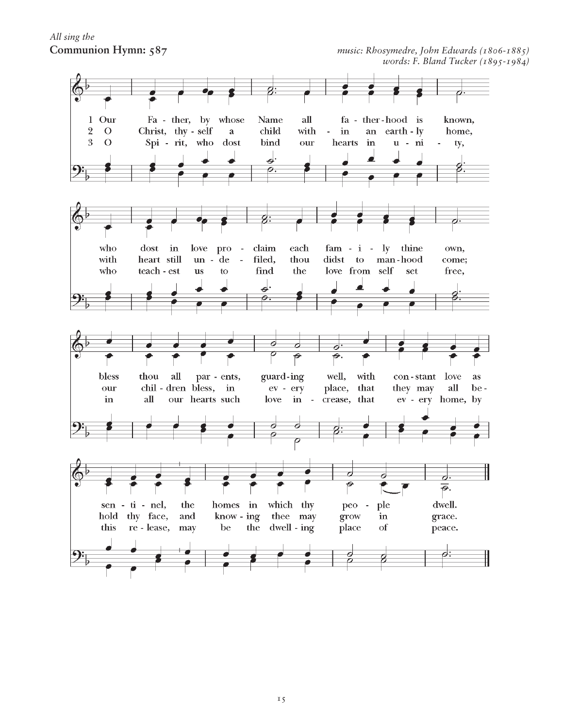*All sing the*

**Communion Hymn: 587** *music: Rhosymedre, John Edwards (1806-1885) words: F. Bland Tucker (1895-1984)*

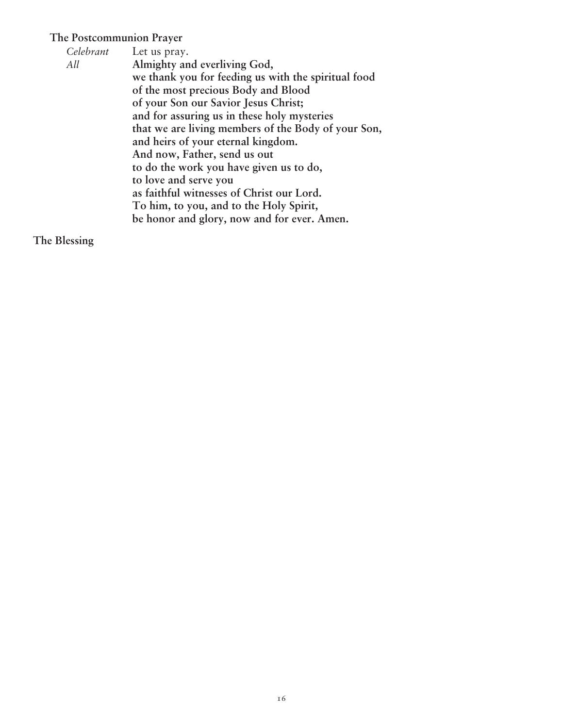# **The Postcommunion Prayer**

| Celebrant | Let us pray.                                        |
|-----------|-----------------------------------------------------|
| All       | Almighty and everliving God,                        |
|           | we thank you for feeding us with the spiritual food |
|           | of the most precious Body and Blood                 |
|           | of your Son our Savior Jesus Christ;                |
|           | and for assuring us in these holy mysteries         |
|           | that we are living members of the Body of your Son, |
|           | and heirs of your eternal kingdom.                  |
|           | And now, Father, send us out                        |
|           | to do the work you have given us to do,             |
|           | to love and serve you                               |
|           | as faithful witnesses of Christ our Lord.           |
|           | To him, to you, and to the Holy Spirit,             |
|           | be honor and glory, now and for ever. Amen.         |

**The Blessing**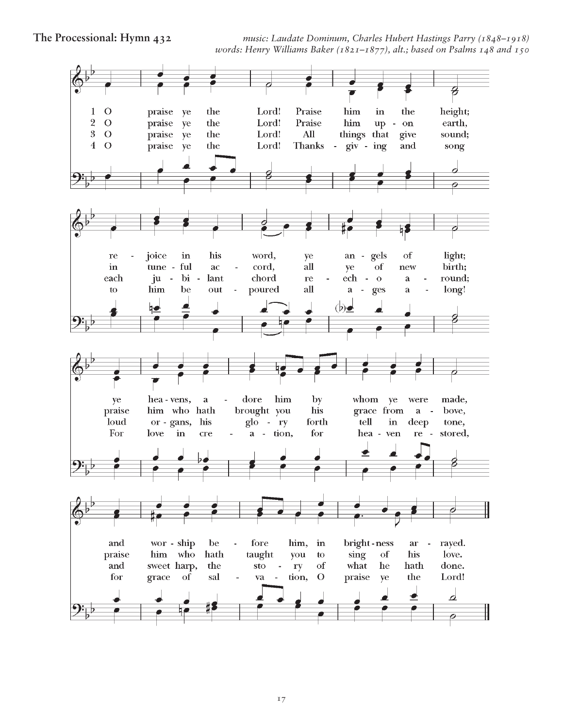**The Processional: Hymn 432** *music: Laudate Dominum, Charles Hubert Hastings Parry (1848–1918) words: Henry Williams Baker (1821–1877), alt.; based on Psalms 148 and 150*

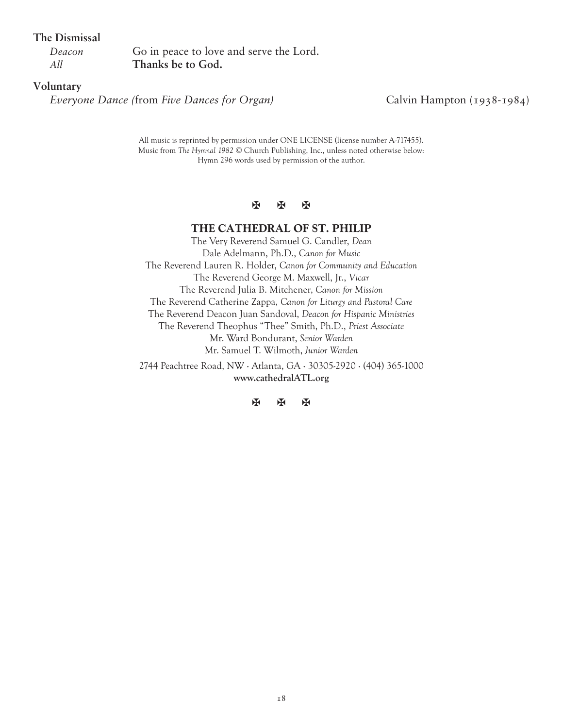### **The Dismissal**

*Deacon* Go in peace to love and serve the Lord. *All* **Thanks be to God.** 

### **Voluntary**

*Everyone Dance (*from *Five Dances for Organ)* Calvin Hampton (1938-1984)

All music is reprinted by permission under ONE LICENSE (license number A-717455). Music from *The Hymnal 1982* © Church Publishing, Inc., unless noted otherwise below: Hymn 296 words used by permission of the author.

X X X

### **THE CATHEDRAL OF ST. PHILIP**

The Very Reverend Samuel G. Candler, *Dean* Dale Adelmann, Ph.D., *Canon for Music*  The Reverend Lauren R. Holder, *Canon for Community and Education* The Reverend George M. Maxwell, Jr., *Vicar* The Reverend Julia B. Mitchener, *Canon for Mission* The Reverend Catherine Zappa, *Canon for Liturgy and Pastoral Care* The Reverend Deacon Juan Sandoval, *Deacon for Hispanic Ministries* The Reverend Theophus "Thee" Smith, Ph.D., *Priest Associate* Mr. Ward Bondurant, *Senior Warden* Mr. Samuel T. Wilmoth, *Junior Warden*

2744 Peachtree Road, NW ∙ Atlanta, GA ∙ 30305-2920 ∙ (404) 365-1000 **www.cathedralATL.org**